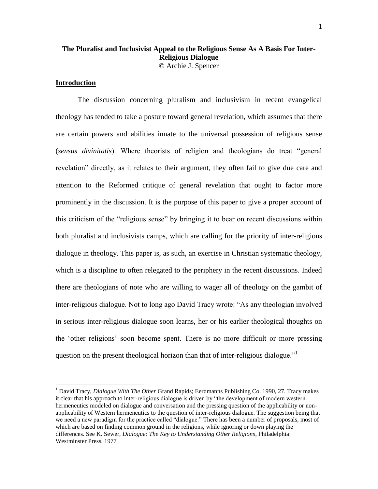# **The Pluralist and Inclusivist Appeal to the Religious Sense As A Basis For Inter-Religious Dialogue**  © Archie J. Spencer

## **Introduction**

 $\overline{a}$ 

The discussion concerning pluralism and inclusivism in recent evangelical theology has tended to take a posture toward general revelation, which assumes that there are certain powers and abilities innate to the universal possession of religious sense (*sensus divinitatis*). Where theorists of religion and theologians do treat "general revelation" directly, as it relates to their argument, they often fail to give due care and attention to the Reformed critique of general revelation that ought to factor more prominently in the discussion. It is the purpose of this paper to give a proper account of this criticism of the "religious sense" by bringing it to bear on recent discussions within both pluralist and inclusivists camps, which are calling for the priority of inter-religious dialogue in theology. This paper is, as such, an exercise in Christian systematic theology, which is a discipline to often relegated to the periphery in the recent discussions. Indeed there are theologians of note who are willing to wager all of theology on the gambit of inter-religious dialogue. Not to long ago David Tracy wrote: "As any theologian involved in serious inter-religious dialogue soon learns, her or his earlier theological thoughts on the "other religions" soon become spent. There is no more difficult or more pressing question on the present theological horizon than that of inter-religious dialogue."

<sup>1</sup> David Tracy, *Dialogue With The Other* Grand Rapids; Eerdmanns Publishing Co. 1990, 27. Tracy makes it clear that his approach to inter-religious dialogue is driven by "the development of modern western hermeneutics modeled on dialogue and conversation and the pressing question of the applicability or nonapplicability of Western hermeneutics to the question of inter-religious dialogue. The suggestion being that we need a new paradigm for the practice called "dialogue." There has been a number of proposals, most of which are based on finding common ground in the religions, while ignoring or down playing the differences. See K. Sewer, *Dialogue: The Key to Understanding Other Religions*, Philadelphia: Westminster Press, 1977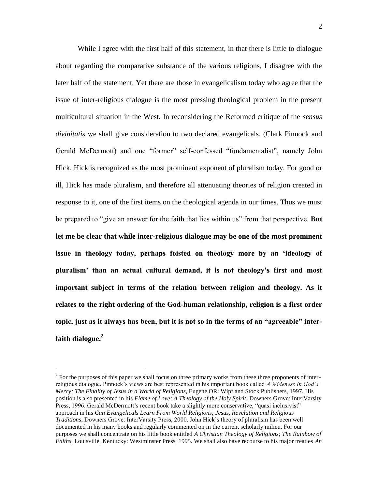While I agree with the first half of this statement, in that there is little to dialogue about regarding the comparative substance of the various religions, I disagree with the later half of the statement. Yet there are those in evangelicalism today who agree that the issue of inter-religious dialogue is the most pressing theological problem in the present multicultural situation in the West. In reconsidering the Reformed critique of the *sensus divinitatis* we shall give consideration to two declared evangelicals, (Clark Pinnock and Gerald McDermott) and one "former" self-confessed "fundamentalist", namely John Hick. Hick is recognized as the most prominent exponent of pluralism today. For good or ill, Hick has made pluralism, and therefore all attenuating theories of religion created in response to it, one of the first items on the theological agenda in our times. Thus we must be prepared to "give an answer for the faith that lies within us" from that perspective. **But let me be clear that while inter-religious dialogue may be one of the most prominent issue in theology today, perhaps foisted on theology more by an "ideology of pluralism" than an actual cultural demand, it is not theology"s first and most important subject in terms of the relation between religion and theology. As it relates to the right ordering of the God-human relationship, religion is a first order topic, just as it always has been, but it is not so in the terms of an "agreeable" interfaith dialogue.<sup>2</sup>**

 $2^{2}$  For the purposes of this paper we shall focus on three primary works from these three proponents of interreligious dialogue. Pinnock"s views are best represented in his important book called *A Wideness In God"s Mercy; The Finality of Jesus in a World of Religions,* Eugene OR: Wipf and Stock Publishers, 1997. His position is also presented in his *Flame of Love; A Theology of the Holy Spirit*, Downers Grove: InterVarsity Press, 1996. Gerald McDermott"s recent book take a slightly more conservative, "quasi inclusivist" approach in his *Can Evangelicals Learn From World Religions; Jesus, Revelation and Religious Traditions*, Downers Grove: InterVarsity Press, 2000. John Hick"s theory of pluralism has been well documented in his many books and regularly commented on in the current scholarly milieu. For our purposes we shall concentrate on his little book entitled *A Christian Theology of Religions; The Rainbow of Faiths*, Louisville, Kentucky: Westminster Press, 1995. We shall also have recourse to his major treaties *An*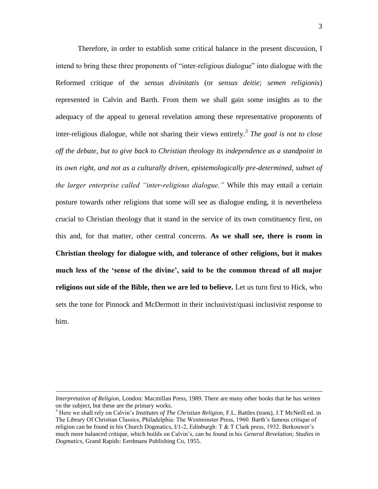Therefore, in order to establish some critical balance in the present discussion, I intend to bring these three proponents of "inter-religious dialogue" into dialogue with the Reformed critique of the *sensus divinitatis* (or *sensus deitie; semen religionis*) represented in Calvin and Barth. From them we shall gain some insights as to the adequacy of the appeal to general revelation among these representative proponents of inter-religious dialogue, while not sharing their views entirely.<sup>3</sup> *The goal is not to close off the debate, but to give back to Christian theology its independence as a standpoint in its own right, and not as a culturally driven, epistemologically pre-determined, subset of the larger enterprise called "inter-religious dialogue."* While this may entail a certain posture towards other religions that some will see as dialogue ending, it is nevertheless crucial to Christian theology that it stand in the service of its own constituency first, on this and, for that matter, other central concerns. **As we shall see, there is room in Christian theology for dialogue with, and tolerance of other religions, but it makes much less of the "sense of the divine", said to be the common thread of all major religions out side of the Bible, then we are led to believe.** Let us turn first to Hick, who sets the tone for Pinnock and McDermott in their inclusivist/quasi inclusivist response to him.

*Interpretation of Religion*, London: Macmillan Press, 1989. There are many other books that he has written on the subject, but these are the primary works.

<sup>3</sup> Here we shall rely on Calvin"s *Institutes of The Christian Religion*, F.L. Battles (trans), J.T McNeill ed. in The Library Of Christian Classics, Philadelphia: The Westminster Press, 1960. Barth"s famous critique of religion can be found in his Church Dogmatics,  $I/1-2$ , Edinburgh: T & T Clark press, 1932. Berkouwer's much more balanced critique, which builds on Calvin"s, can be found in his *General Revelation; Studies in Dogmatics*, Grand Rapids: Eerdmans Publishing Co, 1955.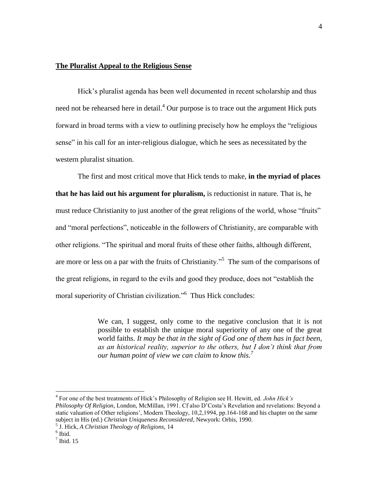# **The Pluralist Appeal to the Religious Sense**

Hick's pluralist agenda has been well documented in recent scholarship and thus need not be rehearsed here in detail.<sup>4</sup> Our purpose is to trace out the argument Hick puts forward in broad terms with a view to outlining precisely how he employs the "religious sense" in his call for an inter-religious dialogue, which he sees as necessitated by the western pluralist situation.

The first and most critical move that Hick tends to make, **in the myriad of places that he has laid out his argument for pluralism,** is reductionist in nature. That is, he must reduce Christianity to just another of the great religions of the world, whose "fruits" and "moral perfections", noticeable in the followers of Christianity, are comparable with other religions. "The spiritual and moral fruits of these other faiths, although different, are more or less on a par with the fruits of Christianity."<sup>5</sup> The sum of the comparisons of the great religions, in regard to the evils and good they produce, does not "establish the moral superiority of Christian civilization."<sup>6</sup> Thus Hick concludes:

> We can, I suggest, only come to the negative conclusion that it is not possible to establish the unique moral superiority of any one of the great world faiths. *It may be that in the sight of God one of them has in fact been, as an historical reality, superior to the others, but I don"t think that from our human point of view we can claim to know this.<sup>7</sup>*

<sup>4</sup> For one of the best treatments of Hick"s Philosophy of Religion see H. Hewitt, ed. *John Hick"s Philosophy Of Religion*, London, McMillan, 1991. Cf also D"Costa"s Revelation and revelations: Beyond a static valuation of Other religions", Modern Theology, 10,2,1994, pp.164-168 and his chapter on the same subject in His (ed.) *Christian Uniqueness Reconsidered*, Newyork: Orbis, 1990.

<sup>5</sup> J. Hick, *A Christian Theology of Religions,* 14

<sup>6</sup> Ibid.

 $<sup>7</sup>$  Ibid. 15</sup>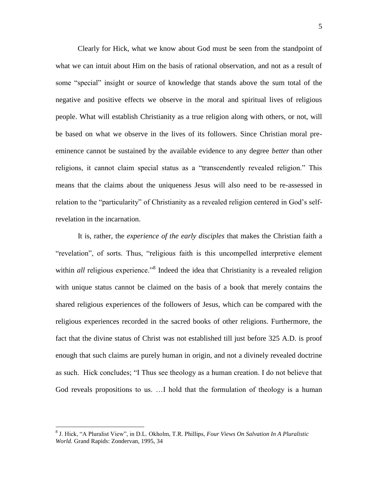Clearly for Hick, what we know about God must be seen from the standpoint of what we can intuit about Him on the basis of rational observation, and not as a result of some "special" insight or source of knowledge that stands above the sum total of the negative and positive effects we observe in the moral and spiritual lives of religious people. What will establish Christianity as a true religion along with others, or not, will be based on what we observe in the lives of its followers. Since Christian moral preeminence cannot be sustained by the available evidence to any degree *better* than other religions, it cannot claim special status as a "transcendently revealed religion." This means that the claims about the uniqueness Jesus will also need to be re-assessed in relation to the "particularity" of Christianity as a revealed religion centered in God's selfrevelation in the incarnation.

 It is, rather, the *experience of the early disciples* that makes the Christian faith a "revelation", of sorts. Thus, "religious faith is this uncompelled interpretive element within *all* religious experience."<sup>8</sup> Indeed the idea that Christianity is a revealed religion with unique status cannot be claimed on the basis of a book that merely contains the shared religious experiences of the followers of Jesus, which can be compared with the religious experiences recorded in the sacred books of other religions. Furthermore, the fact that the divine status of Christ was not established till just before 325 A.D. is proof enough that such claims are purely human in origin, and not a divinely revealed doctrine as such. Hick concludes; "I Thus see theology as a human creation. I do not believe that God reveals propositions to us. …I hold that the formulation of theology is a human

<sup>8</sup> J. Hick, "A Pluralist View", in D.L. Okholm, T.R. Phillips, *Four Views On Salvation In A Pluralistic World.* Grand Rapids: Zondervan, 1995, 34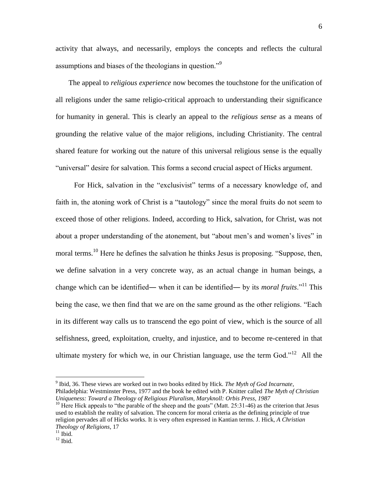activity that always, and necessarily, employs the concepts and reflects the cultural assumptions and biases of the theologians in question."<sup>9</sup>

 The appeal to *religious experience* now becomes the touchstone for the unification of all religions under the same religio-critical approach to understanding their significance for humanity in general. This is clearly an appeal to the *religious sense* as a means of grounding the relative value of the major religions, including Christianity. The central shared feature for working out the nature of this universal religious sense is the equally "universal" desire for salvation. This forms a second crucial aspect of Hicks argument.

 For Hick, salvation in the "exclusivist" terms of a necessary knowledge of, and faith in, the atoning work of Christ is a "tautology" since the moral fruits do not seem to exceed those of other religions. Indeed, according to Hick, salvation, for Christ, was not about a proper understanding of the atonement, but "about men"s and women"s lives" in moral terms.<sup>10</sup> Here he defines the salvation he thinks Jesus is proposing. "Suppose, then, we define salvation in a very concrete way, as an actual change in human beings, a change which can be identified― when it can be identified― by its *moral fruits*."<sup>11</sup> This being the case, we then find that we are on the same ground as the other religions. "Each in its different way calls us to transcend the ego point of view, which is the source of all selfishness, greed, exploitation, cruelty, and injustice, and to become re-centered in that ultimate mystery for which we, in our Christian language, use the term  $God.^{12}$  All the

<sup>9</sup> Ibid, 36. These views are worked out in two books edited by Hick. *The Myth of God Incarnate*, Philadelphia: Westminster Press, 1977 and the book he edited with P. Knitter called *The Myth of Christian Uniqueness: Toward a Theology of Religious Pluralism, Maryknoll: Orbis Press, 1987*

<sup>&</sup>lt;sup>10</sup> Here Hick appeals to "the parable of the sheep and the goats" (Matt. 25:31-46) as the criterion that Jesus used to establish the reality of salvation. The concern for moral criteria as the defining principle of true religion pervades all of Hicks works. It is very often expressed in Kantian terms. J. Hick, *A Christian Theology of Religions*, 17

 $11$  Ibid.

 $12$  Ibid.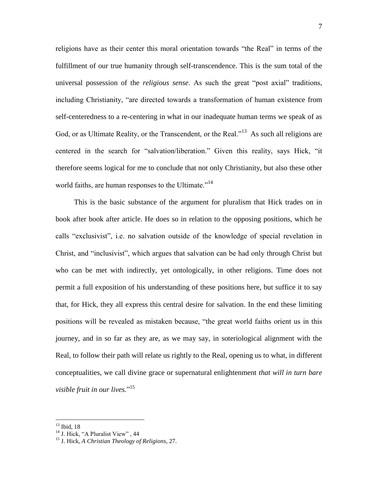religions have as their center this moral orientation towards "the Real" in terms of the fulfillment of our true humanity through self-transcendence. This is the sum total of the universal possession of the *religious sense*. As such the great "post axial" traditions, including Christianity, "are directed towards a transformation of human existence from self-centeredness to a re-centering in what in our inadequate human terms we speak of as God, or as Ultimate Reality, or the Transcendent, or the Real."<sup>13</sup> As such all religions are centered in the search for "salvation/liberation." Given this reality, says Hick, "it therefore seems logical for me to conclude that not only Christianity, but also these other world faiths, are human responses to the Ultimate."<sup>14</sup>

 This is the basic substance of the argument for pluralism that Hick trades on in book after book after article. He does so in relation to the opposing positions, which he calls "exclusivist", i.e. no salvation outside of the knowledge of special revelation in Christ, and "inclusivist", which argues that salvation can be had only through Christ but who can be met with indirectly, yet ontologically, in other religions. Time does not permit a full exposition of his understanding of these positions here, but suffice it to say that, for Hick, they all express this central desire for salvation. In the end these limiting positions will be revealed as mistaken because, "the great world faiths orient us in this journey, and in so far as they are, as we may say, in soteriological alignment with the Real, to follow their path will relate us rightly to the Real, opening us to what, in different conceptualities, we call divine grace or supernatural enlightenment *that will in turn bare visible fruit in our lives.*" 15

 $13$  Ibid, 18

<sup>&</sup>lt;sup>14</sup> J. Hick, "A Pluralist View", 44

<sup>15</sup> J. Hick, *A Christian Theology of Religions*, 27.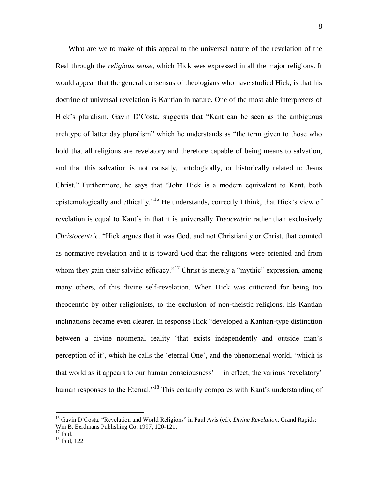What are we to make of this appeal to the universal nature of the revelation of the Real through the *religious sense,* which Hick sees expressed in all the major religions. It would appear that the general consensus of theologians who have studied Hick, is that his doctrine of universal revelation is Kantian in nature. One of the most able interpreters of Hick's pluralism, Gavin D'Costa, suggests that "Kant can be seen as the ambiguous archtype of latter day pluralism" which he understands as "the term given to those who hold that all religions are revelatory and therefore capable of being means to salvation, and that this salvation is not causally, ontologically, or historically related to Jesus Christ." Furthermore, he says that "John Hick is a modern equivalent to Kant, both epistemologically and ethically."<sup>16</sup> He understands, correctly I think, that Hick's view of revelation is equal to Kant's in that it is universally *Theocentric* rather than exclusively *Christocentric*. "Hick argues that it was God, and not Christianity or Christ, that counted as normative revelation and it is toward God that the religions were oriented and from whom they gain their salvific efficacy."<sup>17</sup> Christ is merely a "mythic" expression, among many others, of this divine self-revelation. When Hick was criticized for being too theocentric by other religionists, to the exclusion of non-theistic religions, his Kantian inclinations became even clearer. In response Hick "developed a Kantian-type distinction between a divine noumenal reality "that exists independently and outside man"s perception of it', which he calls the 'eternal One', and the phenomenal world, 'which is that world as it appears to our human consciousness'— in effect, the various 'revelatory' human responses to the Eternal."<sup>18</sup> This certainly compares with Kant's understanding of

<sup>&</sup>lt;sup>16</sup> Gavin D'Costa, "Revelation and World Religions" in Paul Avis (ed), *Divine Revelation*, Grand Rapids: Wm B. Eerdmans Publishing Co. 1997, 120-121.

 $17$  Ibid.

<sup>18</sup> Ibid, 122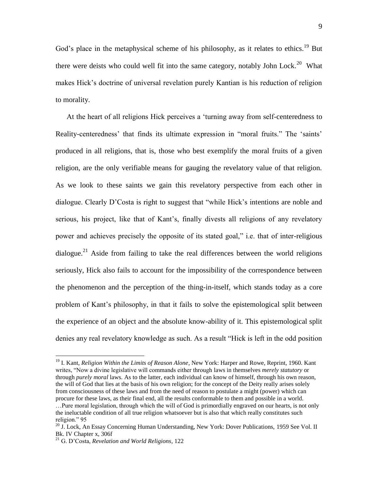God's place in the metaphysical scheme of his philosophy, as it relates to ethics.<sup>19</sup> But there were deists who could well fit into the same category, notably John Lock.<sup>20</sup> What makes Hick"s doctrine of universal revelation purely Kantian is his reduction of religion to morality.

 At the heart of all religions Hick perceives a "turning away from self-centeredness to Reality-centeredness' that finds its ultimate expression in "moral fruits." The 'saints' produced in all religions, that is, those who best exemplify the moral fruits of a given religion, are the only verifiable means for gauging the revelatory value of that religion. As we look to these saints we gain this revelatory perspective from each other in dialogue. Clearly D"Costa is right to suggest that "while Hick"s intentions are noble and serious, his project, like that of Kant's, finally divests all religions of any revelatory power and achieves precisely the opposite of its stated goal," i.e. that of inter-religious dialogue.<sup>21</sup> Aside from failing to take the real differences between the world religions seriously, Hick also fails to account for the impossibility of the correspondence between the phenomenon and the perception of the thing-in-itself, which stands today as a core problem of Kant"s philosophy, in that it fails to solve the epistemological split between the experience of an object and the absolute know-ability of it. This epistemological split denies any real revelatory knowledge as such. As a result "Hick is left in the odd position

<sup>19</sup> I. Kant, *Religion Within the Limits of Reason Alone*, New York: Harper and Rowe, Reprint, 1960. Kant writes, "Now a divine legislative will commands either through laws in themselves *merely statutory* or through *purely moral* laws. As to the latter, each individual can know of himself, through his own reason, the will of God that lies at the basis of his own religion; for the concept of the Deity really arises solely from consciousness of these laws and from the need of reason to postulate a might (power) which can procure for these laws, as their final end, all the results conformable to them and possible in a world.

<sup>…</sup>Pure moral legislation, through which the will of God is primordially engraved on our hearts, is not only the ineluctable condition of all true religion whatsoever but is also that which really constitutes such religion." 95

<sup>&</sup>lt;sup>20</sup> J. Lock, An Essay Concerning Human Understanding, New York: Dover Publications, 1959 See Vol. II Bk. IV Chapter x, 306f

<sup>21</sup> G. D"Costa, *Revelation and World Religions*, 122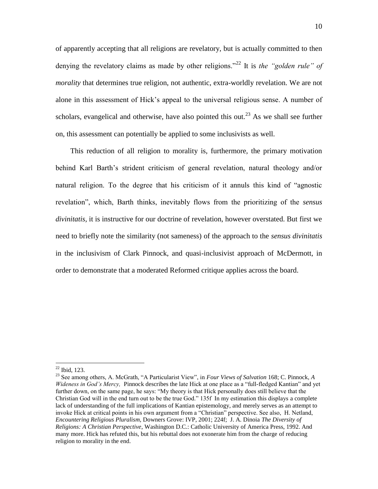of apparently accepting that all religions are revelatory, but is actually committed to then denying the revelatory claims as made by other religions.<sup>"22</sup> It is *the "golden rule" of morality* that determines true religion, not authentic, extra-worldly revelation. We are not alone in this assessment of Hick"s appeal to the universal religious sense. A number of scholars, evangelical and otherwise, have also pointed this out.<sup>23</sup> As we shall see further on, this assessment can potentially be applied to some inclusivists as well.

 This reduction of all religion to morality is, furthermore, the primary motivation behind Karl Barth"s strident criticism of general revelation, natural theology and/or natural religion. To the degree that his criticism of it annuls this kind of "agnostic revelation", which, Barth thinks, inevitably flows from the prioritizing of the *sensus divinitatis,* it is instructive for our doctrine of revelation, however overstated. But first we need to briefly note the similarity (not sameness) of the approach to the *sensus divinitatis* in the inclusivism of Clark Pinnock, and quasi-inclusivist approach of McDermott, in order to demonstrate that a moderated Reformed critique applies across the board.

<sup>22</sup> Ibid, 123.

<sup>23</sup> See among others, A. McGrath, "A Particularist View", in *Four Views of Salvation* 168; C. Pinnock*, A Wideness in God"s Mercy,* Pinnock describes the late Hick at one place as a "full-fledged Kantian" and yet further down, on the same page, he says: "My theory is that Hick personally does still believe that the Christian God will in the end turn out to be the true God." 135f In my estimation this displays a complete lack of understanding of the full implications of Kantian epistemology, and merely serves as an attempt to invoke Hick at critical points in his own argument from a "Christian" perspective. See also, H. Netland, *Encountering Religious Pluralism*, Downers Grove: IVP, 2001; 224f; J. A. Dinoia *The Diversity of Religions: A Christian Perspective*, Washington D.C.: Catholic University of America Press, 1992. And many more. Hick has refuted this, but his rebuttal does not exonerate him from the charge of reducing religion to morality in the end.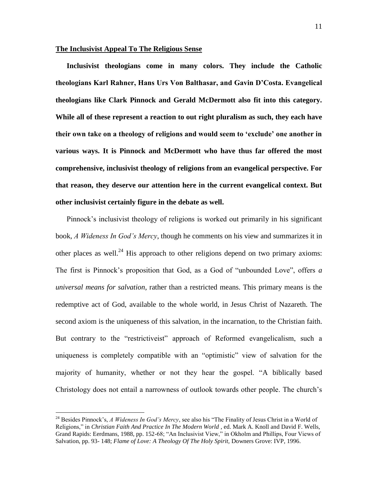### **The Inclusivist Appeal To The Religious Sense**

 **Inclusivist theologians come in many colors. They include the Catholic theologians Karl Rahner, Hans Urs Von Balthasar, and Gavin D"Costa. Evangelical theologians like Clark Pinnock and Gerald McDermott also fit into this category. While all of these represent a reaction to out right pluralism as such, they each have their own take on a theology of religions and would seem to "exclude" one another in various ways. It is Pinnock and McDermott who have thus far offered the most comprehensive, inclusivist theology of religions from an evangelical perspective. For that reason, they deserve our attention here in the current evangelical context. But other inclusivist certainly figure in the debate as well.**

 Pinnock"s inclusivist theology of religions is worked out primarily in his significant book, *A Wideness In God"s Mercy*, though he comments on his view and summarizes it in other places as well.<sup>24</sup> His approach to other religions depend on two primary axioms: The first is Pinnock"s proposition that God, as a God of "unbounded Love", offers *a universal means for salvation*, rather than a restricted means. This primary means is the redemptive act of God, available to the whole world, in Jesus Christ of Nazareth. The second axiom is the uniqueness of this salvation, in the incarnation, to the Christian faith. But contrary to the "restrictiveist" approach of Reformed evangelicalism, such a uniqueness is completely compatible with an "optimistic" view of salvation for the majority of humanity, whether or not they hear the gospel. "A biblically based Christology does not entail a narrowness of outlook towards other people. The church"s

<sup>&</sup>lt;sup>24</sup> Besides Pinnock's, *A Wideness In God's Mercy*, see also his "The Finality of Jesus Christ in a World of Religions," in *Christian Faith And Practice In The Modern World* , ed. Mark A. Knoll and David F. Wells, Grand Rapids: Eerdmans, 1988, pp. 152-68; "An Inclusivist View," in Okholm and Phillips, Four Views of Salvation, pp. 93- 148; *Flame of Love: A Theology Of The Holy Spirit,* Downers Grove: IVP, 1996.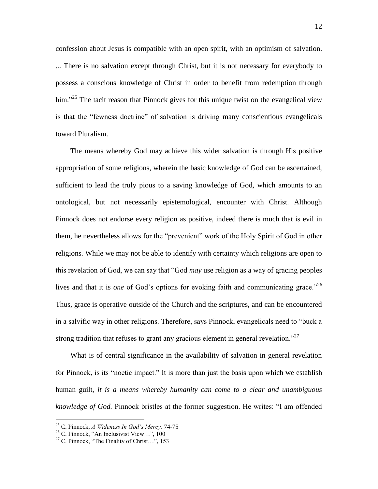confession about Jesus is compatible with an open spirit, with an optimism of salvation. ... There is no salvation except through Christ, but it is not necessary for everybody to possess a conscious knowledge of Christ in order to benefit from redemption through him."<sup>25</sup> The tacit reason that Pinnock gives for this unique twist on the evangelical view is that the "fewness doctrine" of salvation is driving many conscientious evangelicals toward Pluralism.

 The means whereby God may achieve this wider salvation is through His positive appropriation of some religions, wherein the basic knowledge of God can be ascertained, sufficient to lead the truly pious to a saving knowledge of God, which amounts to an ontological, but not necessarily epistemological, encounter with Christ. Although Pinnock does not endorse every religion as positive, indeed there is much that is evil in them, he nevertheless allows for the "prevenient" work of the Holy Spirit of God in other religions. While we may not be able to identify with certainty which religions are open to this revelation of God, we can say that "God *may* use religion as a way of gracing peoples lives and that it is *one* of God's options for evoking faith and communicating grace.<sup>"26</sup> Thus, grace is operative outside of the Church and the scriptures, and can be encountered in a salvific way in other religions. Therefore, says Pinnock, evangelicals need to "buck a strong tradition that refuses to grant any gracious element in general revelation."<sup>27</sup>

 What is of central significance in the availability of salvation in general revelation for Pinnock, is its "noetic impact." It is more than just the basis upon which we establish human guilt, *it is a means whereby humanity can come to a clear and unambiguous knowledge of God.* Pinnock bristles at the former suggestion. He writes: "I am offended

<sup>25</sup> C. Pinnock, *A Wideness In God"s Mercy,* 74-75

<sup>26</sup> C. Pinnock, "An Inclusivist View…", 100

<sup>&</sup>lt;sup>27</sup> C. Pinnock, "The Finality of Christ...", 153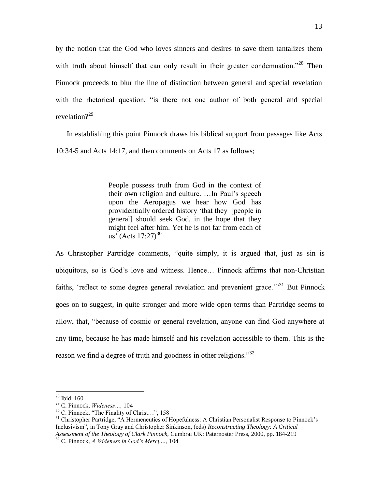by the notion that the God who loves sinners and desires to save them tantalizes them with truth about himself that can only result in their greater condemnation."<sup>28</sup> Then Pinnock proceeds to blur the line of distinction between general and special revelation with the rhetorical question, "is there not one author of both general and special revelation $2^{29}$ 

 In establishing this point Pinnock draws his biblical support from passages like Acts 10:34-5 and Acts 14:17, and then comments on Acts 17 as follows;

> People possess truth from God in the context of their own religion and culture. …In Paul"s speech upon the Aeropagus we hear how God has providentially ordered history "that they [people in general] should seek God, in the hope that they might feel after him. Yet he is not far from each of us<sup>'</sup> (Acts  $17:27^{30}$ )

As Christopher Partridge comments, "quite simply, it is argued that, just as sin is ubiquitous, so is God"s love and witness. Hence… Pinnock affirms that non-Christian faiths, 'reflect to some degree general revelation and prevenient grace."<sup>31</sup> But Pinnock goes on to suggest, in quite stronger and more wide open terms than Partridge seems to allow, that, "because of cosmic or general revelation, anyone can find God anywhere at any time, because he has made himself and his revelation accessible to them. This is the reason we find a degree of truth and goodness in other religions."<sup>32</sup>

 $28$  Ibid, 160

<sup>29</sup> C. Pinnock, *Wideness…,* 104

<sup>30</sup> C. Pinnock, "The Finality of Christ…", 158

<sup>&</sup>lt;sup>31</sup> Christopher Partridge, "A Hermeneutics of Hopefulness: A Christian Personalist Response to Pinnock's Inclusivism", in Tony Gray and Christopher Sinkinson, (eds) *Reconstructing Theology: A Critical Assessment of the Theology of Clark Pinnock,* Cumbrai UK: Paternoster Press, 2000, pp. 184-219 <sup>32</sup> C. Pinnock, *A Wideness in God"s Mercy…,* 104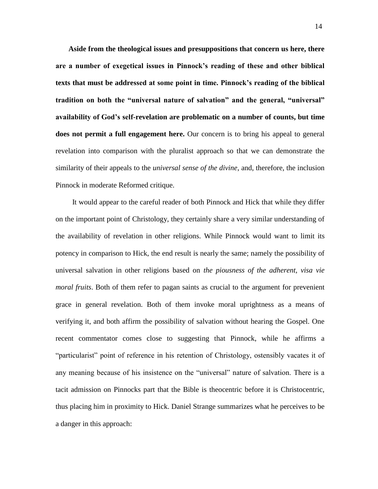**Aside from the theological issues and presuppositions that concern us here, there are a number of exegetical issues in Pinnock"s reading of these and other biblical texts that must be addressed at some point in time. Pinnock"s reading of the biblical tradition on both the "universal nature of salvation" and the general, "universal" availability of God"s self-revelation are problematic on a number of counts, but time does not permit a full engagement here.** Our concern is to bring his appeal to general revelation into comparison with the pluralist approach so that we can demonstrate the similarity of their appeals to the *universal sense of the divine*, and, therefore, the inclusion Pinnock in moderate Reformed critique.

 It would appear to the careful reader of both Pinnock and Hick that while they differ on the important point of Christology, they certainly share a very similar understanding of the availability of revelation in other religions. While Pinnock would want to limit its potency in comparison to Hick, the end result is nearly the same; namely the possibility of universal salvation in other religions based on *the piousness of the adherent, visa vie moral fruits*. Both of them refer to pagan saints as crucial to the argument for prevenient grace in general revelation. Both of them invoke moral uprightness as a means of verifying it, and both affirm the possibility of salvation without hearing the Gospel. One recent commentator comes close to suggesting that Pinnock, while he affirms a "particularist" point of reference in his retention of Christology, ostensibly vacates it of any meaning because of his insistence on the "universal" nature of salvation. There is a tacit admission on Pinnocks part that the Bible is theocentric before it is Christocentric, thus placing him in proximity to Hick. Daniel Strange summarizes what he perceives to be a danger in this approach: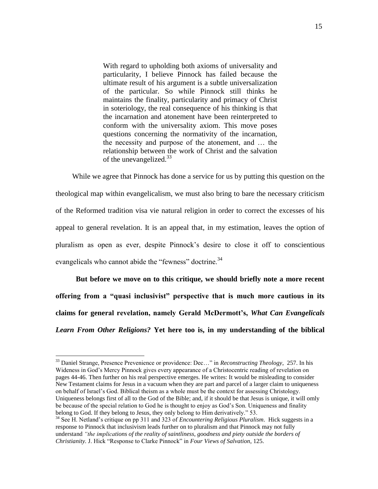With regard to upholding both axioms of universality and particularity, I believe Pinnock has failed because the ultimate result of his argument is a subtle universalization of the particular. So while Pinnock still thinks he maintains the finality, particularity and primacy of Christ in soteriology, the real consequence of his thinking is that the incarnation and atonement have been reinterpreted to conform with the universality axiom. This move poses questions concerning the normativity of the incarnation, the necessity and purpose of the atonement, and … the relationship between the work of Christ and the salvation of the unevangelized.<sup>33</sup>

 While we agree that Pinnock has done a service for us by putting this question on the theological map within evangelicalism, we must also bring to bare the necessary criticism of the Reformed tradition visa vie natural religion in order to correct the excesses of his appeal to general revelation. It is an appeal that, in my estimation, leaves the option of pluralism as open as ever, despite Pinnock"s desire to close it off to conscientious evangelicals who cannot abide the "fewness" doctrine.<sup>34</sup>

 **But before we move on to this critique, we should briefly note a more recent offering from a "quasi inclusivist" perspective that is much more cautious in its claims for general revelation, namely Gerald McDermott"s,** *What Can Evangelicals Learn From Other Religions?* **Yet here too is, in my understanding of the biblical** 

<sup>33</sup> Daniel Strange, Presence Prevenience or providence: Dec…" in *Reconstructing Theology*, 257. In his Wideness in God"s Mercy Pinnock gives every appearance of a Christocentric reading of revelation on pages 44-46. Then further on his real perspective emerges. He writes: It would be misleading to consider New Testament claims for Jesus in a vacuum when they are part and parcel of a larger claim to uniqueness on behalf of Israel"s God. Biblical theism as a whole must be the context for assessing Christology. Uniqueness belongs first of all to the God of the Bible; and, if it should be that Jesus is unique, it will omly be because of the special relation to God he is thought to enjoy as God's Son. Uniqueness and finality belong to God. If they belong to Jesus, they only belong to Him derivatively." 53.

<sup>34</sup> See H. Netland"s critique on pp 311 and 323 of *Encountering Religious Pluralism*. Hick suggests in a response to Pinnock that inclusivism leads further on to pluralism and that Pinnock may not fully understand *"the implications of the reality of saintliness, goodness and piety outside the borders of Christianity.* J. Hick "Response to Clarke Pinnock" in *Four Views of Salvation*, 125.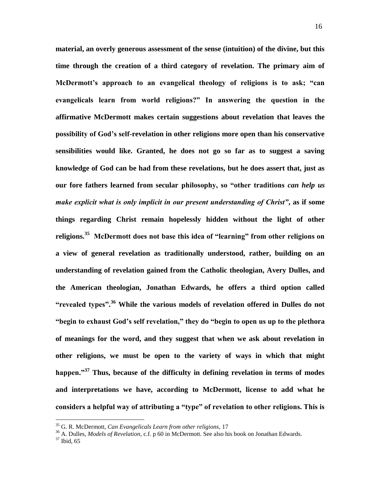**material, an overly generous assessment of the sense (intuition) of the divine, but this time through the creation of a third category of revelation. The primary aim of McDermott"s approach to an evangelical theology of religions is to ask; "can evangelicals learn from world religions?" In answering the question in the affirmative McDermott makes certain suggestions about revelation that leaves the possibility of God"s self-revelation in other religions more open than his conservative sensibilities would like. Granted, he does not go so far as to suggest a saving knowledge of God can be had from these revelations, but he does assert that, just as our fore fathers learned from secular philosophy, so "other traditions** *can help us make explicit what is only implicit in our present understanding of Christ"***, as if some things regarding Christ remain hopelessly hidden without the light of other religions.<sup>35</sup> McDermott does not base this idea of "learning" from other religions on a view of general revelation as traditionally understood, rather, building on an understanding of revelation gained from the Catholic theologian, Avery Dulles, and the American theologian, Jonathan Edwards, he offers a third option called "revealed types".<sup>36</sup> While the various models of revelation offered in Dulles do not "begin to exhaust God"s self revelation," they do "begin to open us up to the plethora of meanings for the word, and they suggest that when we ask about revelation in other religions, we must be open to the variety of ways in which that might happen."<sup>37</sup> Thus, because of the difficulty in defining revelation in terms of modes and interpretations we have, according to McDermott, license to add what he considers a helpful way of attributing a "type" of revelation to other religions. This is** 

<sup>35</sup> G. R. McDermott, *Can Evangelicals Learn from other religions*, 17

<sup>36</sup> A. Dulles, *Models of Revelation*, c.f. p 60 in McDermott. See also his book on Jonathan Edwards.

 $37$  Ibid, 65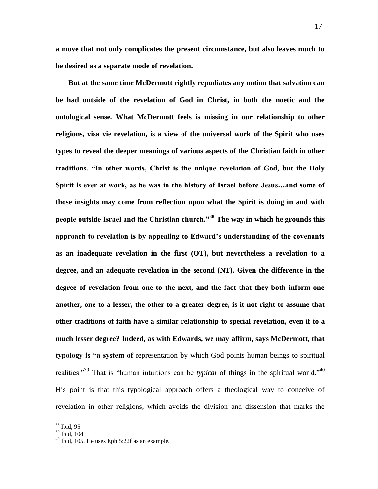**a move that not only complicates the present circumstance, but also leaves much to be desired as a separate mode of revelation.** 

 **But at the same time McDermott rightly repudiates any notion that salvation can be had outside of the revelation of God in Christ, in both the noetic and the ontological sense. What McDermott feels is missing in our relationship to other religions, visa vie revelation, is a view of the universal work of the Spirit who uses types to reveal the deeper meanings of various aspects of the Christian faith in other traditions. "In other words, Christ is the unique revelation of God, but the Holy Spirit is ever at work, as he was in the history of Israel before Jesus…and some of those insights may come from reflection upon what the Spirit is doing in and with people outside Israel and the Christian church."<sup>38</sup> The way in which he grounds this approach to revelation is by appealing to Edward"s understanding of the covenants as an inadequate revelation in the first (OT), but nevertheless a revelation to a degree, and an adequate revelation in the second (NT). Given the difference in the degree of revelation from one to the next, and the fact that they both inform one another, one to a lesser, the other to a greater degree, is it not right to assume that other traditions of faith have a similar relationship to special revelation, even if to a much lesser degree? Indeed, as with Edwards, we may affirm, says McDermott, that typology is "a system of** representation by which God points human beings to spiritual realities."<sup>39</sup> That is "human intuitions can be *typical* of things in the spiritual world."<sup>40</sup> His point is that this typological approach offers a theological way to conceive of revelation in other religions, which avoids the division and dissension that marks the

<sup>38</sup> Ibid, 95

<sup>39</sup> Ibid, 104

<sup>40</sup> Ibid, 105. He uses Eph 5:22f as an example.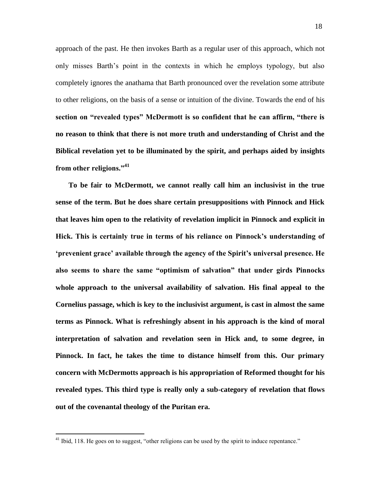approach of the past. He then invokes Barth as a regular user of this approach, which not only misses Barth"s point in the contexts in which he employs typology, but also completely ignores the anathama that Barth pronounced over the revelation some attribute to other religions, on the basis of a sense or intuition of the divine. Towards the end of his **section on "revealed types" McDermott is so confident that he can affirm, "there is no reason to think that there is not more truth and understanding of Christ and the Biblical revelation yet to be illuminated by the spirit, and perhaps aided by insights from other religions."<sup>41</sup>**

 **To be fair to McDermott, we cannot really call him an inclusivist in the true sense of the term. But he does share certain presuppositions with Pinnock and Hick that leaves him open to the relativity of revelation implicit in Pinnock and explicit in Hick. This is certainly true in terms of his reliance on Pinnock"s understanding of "prevenient grace" available through the agency of the Spirit"s universal presence. He also seems to share the same "optimism of salvation" that under girds Pinnocks whole approach to the universal availability of salvation. His final appeal to the Cornelius passage, which is key to the inclusivist argument, is cast in almost the same terms as Pinnock. What is refreshingly absent in his approach is the kind of moral interpretation of salvation and revelation seen in Hick and, to some degree, in Pinnock. In fact, he takes the time to distance himself from this. Our primary concern with McDermotts approach is his appropriation of Reformed thought for his revealed types. This third type is really only a sub-category of revelation that flows out of the covenantal theology of the Puritan era.**

<sup>&</sup>lt;sup>41</sup> Ibid, 118. He goes on to suggest, "other religions can be used by the spirit to induce repentance."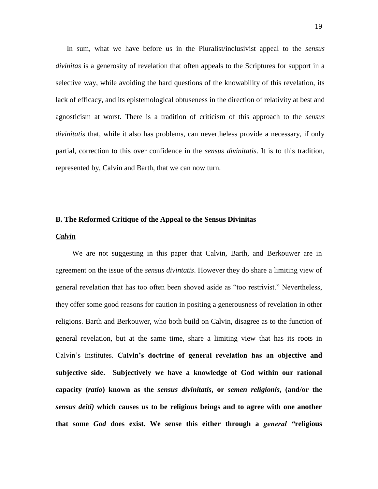In sum, what we have before us in the Pluralist/inclusivist appeal to the *sensus divinitas* is a generosity of revelation that often appeals to the Scriptures for support in a selective way, while avoiding the hard questions of the knowability of this revelation, its lack of efficacy, and its epistemological obtuseness in the direction of relativity at best and agnosticism at worst. There is a tradition of criticism of this approach to the *sensus divinitatis* that, while it also has problems, can nevertheless provide a necessary, if only partial, correction to this over confidence in the *sensus divinitatis*. It is to this tradition, represented by, Calvin and Barth, that we can now turn.

#### **B. The Reformed Critique of the Appeal to the Sensus Divinitas**

#### *Calvin*

 We are not suggesting in this paper that Calvin, Barth, and Berkouwer are in agreement on the issue of the *sensus divintatis*. However they do share a limiting view of general revelation that has too often been shoved aside as "too restrivist." Nevertheless, they offer some good reasons for caution in positing a generousness of revelation in other religions. Barth and Berkouwer, who both build on Calvin, disagree as to the function of general revelation, but at the same time, share a limiting view that has its roots in Calvin"s Institutes. **Calvin"s doctrine of general revelation has an objective and subjective side. Subjectively we have a knowledge of God within our rational capacity (***ratio***) known as the** *sensus divinitatis***, or** *semen religionis***, (and/or the**  *sensus deiti)* **which causes us to be religious beings and to agree with one another that some** *God* **does exist. We sense this either through a** *general "***religious**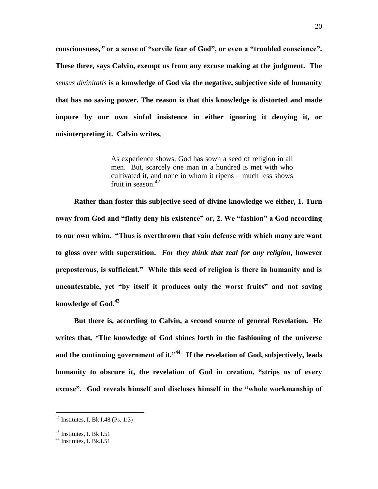**consciousness***,"* **or a sense of "servile fear of God", or even a "troubled conscience". These three, says Calvin, exempt us from any excuse making at the judgment. The**  *sensus divinitatis* **is a knowledge of God via the negative, subjective side of humanity that has no saving power. The reason is that this knowledge is distorted and made impure by our own sinful insistence in either ignoring it denying it, or misinterpreting it. Calvin writes,** 

> As experience shows, God has sown a seed of religion in all men. But, scarcely one man in a hundred is met with who cultivated it, and none in whom it ripens – much less shows fruit in season. $42$

 **Rather than foster this subjective seed of divine knowledge we either, 1. Turn away from God and "flatly deny his existence" or, 2. We "fashion" a God according to our own whim. "Thus is overthrown that vain defense with which many are want to gloss over with superstition.** *For they think that zeal for any religion***, however preposterous, is sufficient." While this seed of religion is there in humanity and is uncontestable, yet "by itself it produces only the worst fruits" and not saving knowledge of God.<sup>43</sup>**

 **But there is, according to Calvin, a second source of general Revelation. He writes that***, "***The knowledge of God shines forth in the fashioning of the universe and the continuing government of it."<sup>44</sup> If the revelation of God, subjectively, leads humanity to obscure it, the revelation of God in creation, "strips us of every excuse"***.* **God reveals himself and discloses himself in the "whole workmanship of** 

 $42$  Institutes, I. Bk I.48 (Ps. 1:3)

<sup>43</sup> Institutes, I. Bk I.51

 $44$  Institutes, I. Bk.I.51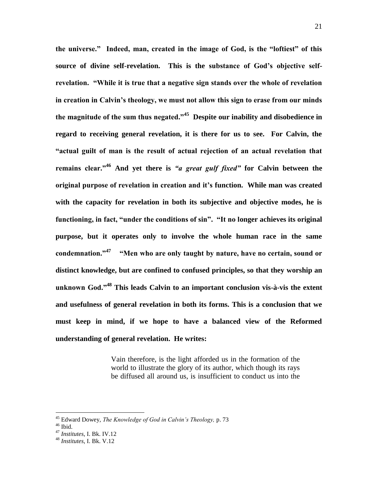**the universe." Indeed, man, created in the image of God, is the "loftiest" of this**  source of divine self-revelation. This is the substance of God's objective self**revelation. "While it is true that a negative sign stands over the whole of revelation in creation in Calvin"s theology, we must not allow this sign to erase from our minds the magnitude of the sum thus negated."<sup>45</sup> Despite our inability and disobedience in regard to receiving general revelation, it is there for us to see. For Calvin, the "actual guilt of man is the result of actual rejection of an actual revelation that remains clear."<sup>46</sup> And yet there is** *"a great gulf fixed"* **for Calvin between the original purpose of revelation in creation and it"s function. While man was created with the capacity for revelation in both its subjective and objective modes, he is functioning, in fact, "under the conditions of sin". "It no longer achieves its original purpose, but it operates only to involve the whole human race in the same condemnation."<sup>47</sup> "Men who are only taught by nature, have no certain, sound or distinct knowledge, but are confined to confused principles, so that they worship an unknown God."<sup>48</sup> This leads Calvin to an important conclusion vis-à-vis the extent and usefulness of general revelation in both its forms. This is a conclusion that we must keep in mind, if we hope to have a balanced view of the Reformed understanding of general revelation. He writes:**

> Vain therefore, is the light afforded us in the formation of the world to illustrate the glory of its author, which though its rays be diffused all around us, is insufficient to conduct us into the

<sup>45</sup> Edward Dowey, *The Knowledge of God in Calvin"s Theology,* p. 73

 $46$  Ibid.

<sup>47</sup> *Institutes*, I. Bk. IV.12

<sup>48</sup> *Institutes*, I. Bk. V.12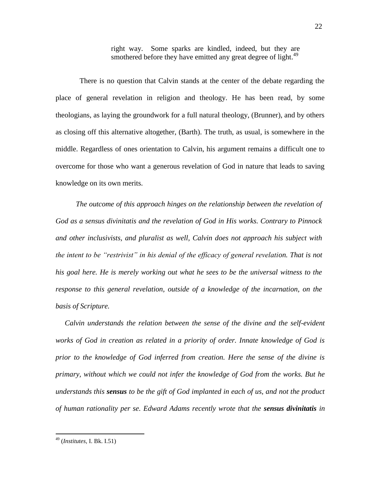right way. Some sparks are kindled, indeed, but they are smothered before they have emitted any great degree of light.<sup>49</sup>

 There is no question that Calvin stands at the center of the debate regarding the place of general revelation in religion and theology. He has been read, by some theologians, as laying the groundwork for a full natural theology, (Brunner), and by others as closing off this alternative altogether, (Barth). The truth, as usual, is somewhere in the middle. Regardless of ones orientation to Calvin, his argument remains a difficult one to overcome for those who want a generous revelation of God in nature that leads to saving knowledge on its own merits.

 *The outcome of this approach hinges on the relationship between the revelation of God as a sensus divinitatis and the revelation of God in His works. Contrary to Pinnock and other inclusivists, and pluralist as well, Calvin does not approach his subject with the intent to be "restrivist" in his denial of the efficacy of general revelation. That is not his goal here. He is merely working out what he sees to be the universal witness to the response to this general revelation, outside of a knowledge of the incarnation, on the basis of Scripture.* 

 *Calvin understands the relation between the sense of the divine and the self-evident works of God in creation as related in a priority of order. Innate knowledge of God is prior to the knowledge of God inferred from creation. Here the sense of the divine is primary, without which we could not infer the knowledge of God from the works. But he understands this sensus to be the gift of God implanted in each of us, and not the product of human rationality per se. Edward Adams recently wrote that the sensus divinitatis in* 

<sup>49</sup> (*Institutes,* I. Bk. I.51)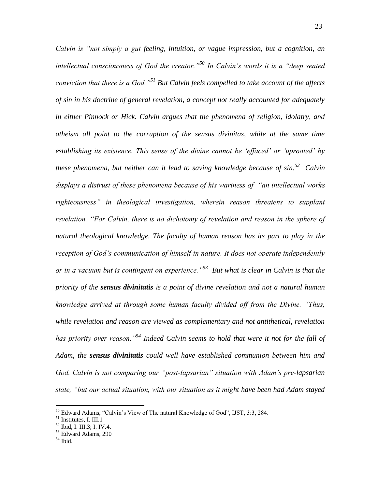*Calvin is "not simply a gut feeling, intuition, or vague impression, but a cognition, an intellectual consciousness of God the creator."<sup>50</sup> In Calvin"s words it is a "deep seated conviction that there is a God."<sup>51</sup> But Calvin feels compelled to take account of the affects of sin in his doctrine of general revelation, a concept not really accounted for adequately in either Pinnock or Hick. Calvin argues that the phenomena of religion, idolatry, and atheism all point to the corruption of the sensus divinitas, while at the same time establishing its existence. This sense of the divine cannot be "effaced" or "uprooted" by these phenomena, but neither can it lead to saving knowledge because of sin.<sup>52</sup> Calvin displays a distrust of these phenomena because of his wariness of "an intellectual works righteousness" in theological investigation, wherein reason threatens to supplant revelation. "For Calvin, there is no dichotomy of revelation and reason in the sphere of natural theological knowledge. The faculty of human reason has its part to play in the reception of God"s communication of himself in nature. It does not operate independently or in a vacuum but is contingent on experience."<sup>53</sup> But what is clear in Calvin is that the priority of the sensus divinitatis is a point of divine revelation and not a natural human knowledge arrived at through some human faculty divided off from the Divine. "Thus, while revelation and reason are viewed as complementary and not antithetical, revelation has priority over reason."<sup>54</sup> Indeed Calvin seems to hold that were it not for the fall of Adam, the sensus divinitatis could well have established communion between him and God. Calvin is not comparing our "post-lapsarian" situation with Adam"s pre-lapsarian state, "but our actual situation, with our situation as it might have been had Adam stayed* 

<sup>&</sup>lt;sup>50</sup> Edward Adams, "Calvin's View of The natural Knowledge of God", IJST, 3:3, 284.

<sup>&</sup>lt;sup>51</sup> Institutes, I. III.1

<sup>52</sup> Ibid, I. III.3; I. IV.4.

 $53$  Edward Adams, 290

 $^{\rm 54}$  Ibid.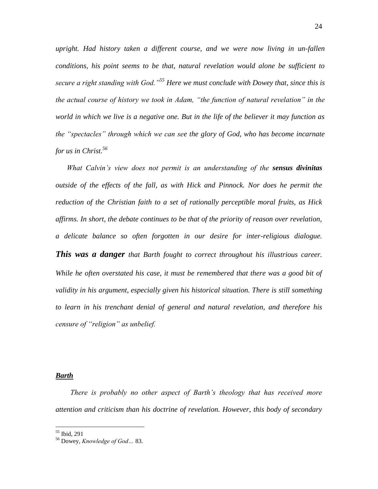*upright. Had history taken a different course, and we were now living in un-fallen conditions, his point seems to be that, natural revelation would alone be sufficient to secure a right standing with God."<sup>55</sup> Here we must conclude with Dowey that, since this is the actual course of history we took in Adam, "the function of natural revelation" in the world in which we live is a negative one. But in the life of the believer it may function as the "spectacles" through which we can see the glory of God, who has become incarnate for us in Christ.<sup>56</sup>*

 *What Calvin"s view does not permit is an understanding of the sensus divinitas outside of the effects of the fall, as with Hick and Pinnock. Nor does he permit the reduction of the Christian faith to a set of rationally perceptible moral fruits, as Hick affirms. In short, the debate continues to be that of the priority of reason over revelation, a delicate balance so often forgotten in our desire for inter-religious dialogue. This was a danger that Barth fought to correct throughout his illustrious career. While he often overstated his case, it must be remembered that there was a good bit of validity in his argument, especially given his historical situation. There is still something to learn in his trenchant denial of general and natural revelation, and therefore his censure of "religion" as unbelief.* 

### *Barth*

 *There is probably no other aspect of Barth"s theology that has received more attention and criticism than his doctrine of revelation. However, this body of secondary* 

<sup>55</sup> Ibid, 291

<sup>56</sup> Dowey, *Knowledge of God…* 83.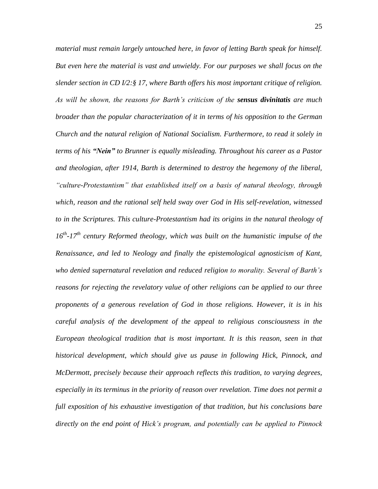*material must remain largely untouched here, in favor of letting Barth speak for himself. But even here the material is vast and unwieldy. For our purposes we shall focus on the slender section in CD I/2:§ 17, where Barth offers his most important critique of religion. As will be shown, the reasons for Barth"s criticism of the sensus divinitatis are much broader than the popular characterization of it in terms of his opposition to the German Church and the natural religion of National Socialism. Furthermore, to read it solely in terms of his "Nein" to Brunner is equally misleading. Throughout his career as a Pastor and theologian, after 1914, Barth is determined to destroy the hegemony of the liberal, "culture-Protestantism" that established itself on a basis of natural theology, through which, reason and the rational self held sway over God in His self-revelation, witnessed to in the Scriptures. This culture-Protestantism had its origins in the natural theology of 16th -17th century Reformed theology, which was built on the humanistic impulse of the Renaissance, and led to Neology and finally the epistemological agnosticism of Kant, who denied supernatural revelation and reduced religion to morality. Several of Barth"s reasons for rejecting the revelatory value of other religions can be applied to our three proponents of a generous revelation of God in those religions. However, it is in his careful analysis of the development of the appeal to religious consciousness in the European theological tradition that is most important. It is this reason, seen in that historical development, which should give us pause in following Hick, Pinnock, and McDermott, precisely because their approach reflects this tradition, to varying degrees, especially in its terminus in the priority of reason over revelation. Time does not permit a full exposition of his exhaustive investigation of that tradition, but his conclusions bare directly on the end point of Hick"s program, and potentially can be applied to Pinnock*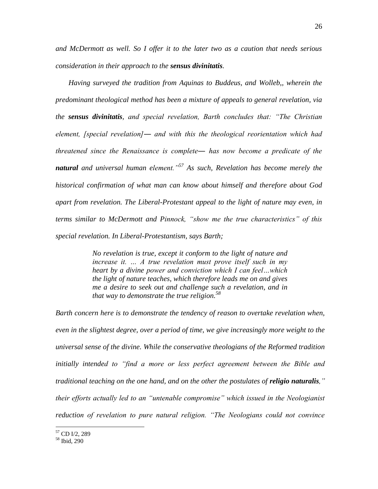*and McDermott as well. So I offer it to the later two as a caution that needs serious consideration in their approach to the sensus divinitatis.*

 *Having surveyed the tradition from Aquinas to Buddeus, and Wolleb,, wherein the predominant theological method has been a mixture of appeals to general revelation, via the sensus divinitatis, and special revelation, Barth concludes that: "The Christian element, [special revelation]― and with this the theological reorientation which had threatened since the Renaissance is complete― has now become a predicate of the natural and universal human element."<sup>57</sup> As such, Revelation has become merely the historical confirmation of what man can know about himself and therefore about God apart from revelation. The Liberal-Protestant appeal to the light of nature may even, in terms similar to McDermott and Pinnock, "show me the true characteristics" of this special revelation. In Liberal-Protestantism, says Barth;*

> *No revelation is true, except it conform to the light of nature and increase it. … A true revelation must prove itself such in my heart by a divine power and conviction which I can feel…which the light of nature teaches, which therefore leads me on and gives me a desire to seek out and challenge such a revelation, and in that way to demonstrate the true religion.<sup>58</sup>*

*Barth concern here is to demonstrate the tendency of reason to overtake revelation when, even in the slightest degree, over a period of time, we give increasingly more weight to the universal sense of the divine. While the conservative theologians of the Reformed tradition initially intended to "find a more or less perfect agreement between the Bible and traditional teaching on the one hand, and on the other the postulates of <i>religio naturalis*," *their efforts actually led to an "untenable compromise" which issued in the Neologianist reduction of revelation to pure natural religion. "The Neologians could not convince* 

<sup>57</sup> CD I/2, 289

<sup>58</sup> Ibid, 290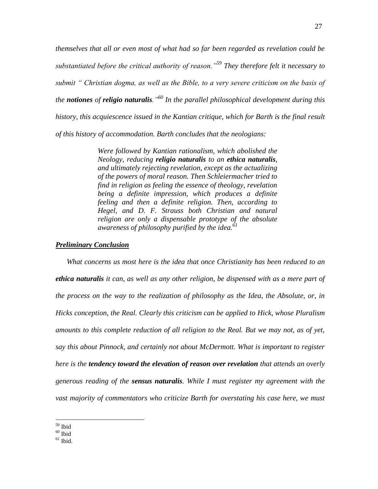*themselves that all or even most of what had so far been regarded as revelation could be substantiated before the critical authority of reason."<sup>59</sup> They therefore felt it necessary to submit " Christian dogma, as well as the Bible, to a very severe criticism on the basis of the notiones of religio naturalis."<sup>60</sup> In the parallel philosophical development during this history, this acquiescence issued in the Kantian critique, which for Barth is the final result of this history of accommodation. Barth concludes that the neologians:*

> *Were followed by Kantian rationalism, which abolished the Neology, reducing religio naturalis to an ethica naturalis, and ultimately rejecting revelation, except as the actualizing of the powers of moral reason. Then Schleiermacher tried to find in religion as feeling the essence of theology, revelation being a definite impression, which produces a definite feeling and then a definite religion. Then, according to Hegel, and D. F. Strauss both Christian and natural religion are only a dispensable prototype of the absolute awareness of philosophy purified by the idea.<sup>61</sup>*

## *Preliminary Conclusion*

 *What concerns us most here is the idea that once Christianity has been reduced to an ethica naturalis it can, as well as any other religion, be dispensed with as a mere part of the process on the way to the realization of philosophy as the Idea, the Absolute, or, in Hicks conception, the Real. Clearly this criticism can be applied to Hick, whose Pluralism amounts to this complete reduction of all religion to the Real. But we may not, as of yet, say this about Pinnock, and certainly not about McDermott. What is important to register here is the tendency toward the elevation of reason over revelation that attends an overly generous reading of the sensus naturalis. While I must register my agreement with the vast majority of commentators who criticize Barth for overstating his case here, we must* 

<sup>59</sup> Ibid

 $60$  Ibid

 $61$  Ibid.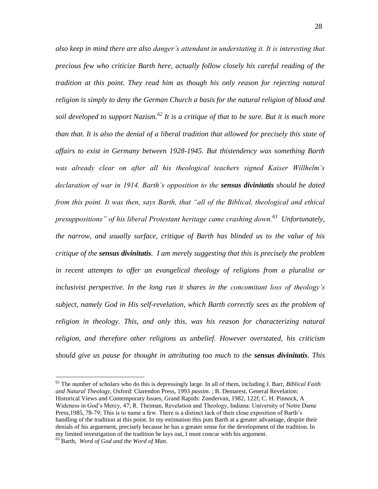*also keep in mind there are also danger"s attendant in understating it. It is interesting that precious few who criticize Barth here, actually follow closely his careful reading of the tradition at this point. They read him as though his only reason for rejecting natural religion is simply to deny the German Church a basis for the natural religion of blood and soil developed to support Nazism.<sup>62</sup> It is a critique of that to be sure. But it is much more than that. It is also the denial of a liberal tradition that allowed for precisely this state of affairs to exist in Germany between 1928-1945. But thistendency was something Barth was already clear on after all his theological teachers signed Kaiser Willhelm"s declaration of war in 1914. Barth"s opposition to the sensus divinitatis should be dated from this point. It was then, says Barth, that "all of the Biblical, theological and ethical presuppositions" of his liberal Protestant heritage came crashing down.<sup>63</sup> Unfortunately, the narrow, and usually surface, critique of Barth has blinded us to the value of his critique of the sensus divinitatis. I am merely suggesting that this is precisely the problem in recent attempts to offer an evangelical theology of religions from a pluralist or inclusivist perspective. In the long run it shares in the concomitant loss of theology"s subject, namely God in His self-revelation, which Barth correctly sees as the problem of*  religion in theology. This, and only this, was his reason for characterizing natural *religion, and therefore other religions as unbelief. However overstated, his criticism should give us pause for thought in attributing too much to the sensus divinitatis. This* 

<sup>62</sup> The number of scholars who do this is depressingly large. In all of them, including J. Barr, *Biblical Faith and Natural Theology*, Oxford: Clarendon Press, 1993 *passim.* ; B. Demarest, General Revelation: Historical Views and Contemporary Issues, Grand Rapids: Zondervan, 1982, 122f; C. H. Pinnock, A Wideness in God"s Mercy, 47; R. Theiman, Revelation and Theology, Indiana: University of Notre Dame Press,1985, 78-79; This is to name a few. There is a distinct lack of their close exposition of Barth"s handling of the tradition at this point. In my estimation this puts Barth at a greater advantage, despite their denials of his arguement, precisely because he has a greater sense for the development of the tradition. In my limited investigation of the tradition he lays out, I must concur with his argument.

<sup>63</sup> Barth, *Word of God and the Word of Man,*